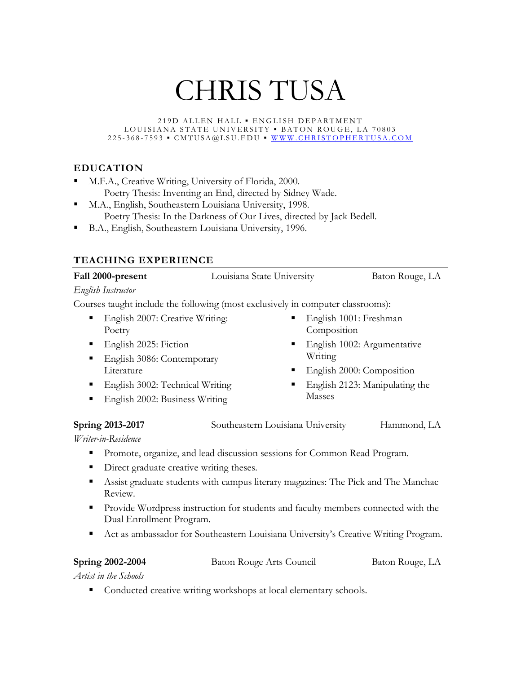# CHRIS TUSA

219D ALLEN HALL ▪ EN GLISH DEPARTMENT LOUISIANA STATE UNIVERSITY · BATON ROUGE, LA 70803 225 - 368 - 7593 ▪ CMTUSA@LSU.EDU ▪ [WWW.CHRISTOPHERTUSA.](http://www.christophertusa.com/)COM

# **EDUCATION**

- M.F.A., Creative Writing, University of Florida, 2000. Poetry Thesis: Inventing an End, directed by Sidney Wade.
- M.A., English, Southeastern Louisiana University, 1998. Poetry Thesis: In the Darkness of Our Lives, directed by Jack Bedell.
- B.A., English, Southeastern Louisiana University, 1996.

# **TEACHING EXPERIENCE**

| Fall 2000-present | Louisiana State University | Baton Rouge, LA |
|-------------------|----------------------------|-----------------|
|                   |                            |                 |

### *English Instructor*

Courses taught include the following (most exclusively in computer classrooms):

- English 2007: Creative Writing: Poetry
- English 2025: Fiction
- English 3086: Contemporary Literature
- **English 3002: Technical Writing**
- English 2002: Business Writing
- English 1001: Freshman Composition
- English 1002: Argumentative Writing
- English 2000: Composition
- English 2123: Manipulating the Masses

**Spring 2013-2017** Southeastern Louisiana University Hammond, LA

*Writer-in-Residence* 

- Promote, organize, and lead discussion sessions for Common Read Program.
- Direct graduate creative writing theses.
- Assist graduate students with campus literary magazines: The Pick and The Manchac Review.
- **Provide Wordpress instruction for students and faculty members connected with the** Dual Enrollment Program.
- Act as ambassador for Southeastern Louisiana University's Creative Writing Program.

**Spring 2002-2004** Baton Rouge Arts Council Baton Rouge, LA

*Artist in the Schools*

Conducted creative writing workshops at local elementary schools.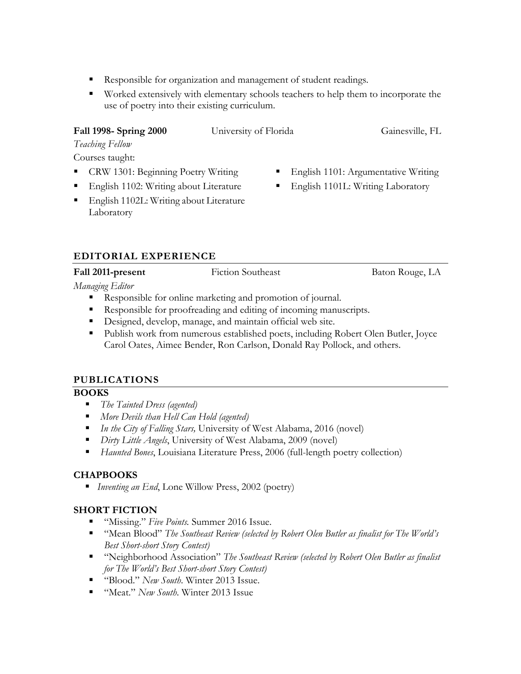- Responsible for organization and management of student readings.
- Worked extensively with elementary schools teachers to help them to incorporate the use of poetry into their existing curriculum.

# **Fall 1998- Spring 2000** University of Florida Gainesville, FL

English 1101: Argumentative Writing

**English 1101L: Writing Laboratory** 

*Teaching Fellow*

Courses taught:

- CRW 1301: Beginning Poetry Writing
- English 1102: Writing about Literature
- English 1102L: Writing about Literature Laboratory

# **EDITORIAL EXPERIENCE**

# **Fall 2011-present** Fiction Southeast Baton Rouge, LA

*Managing Editor*

- Responsible for online marketing and promotion of journal.
- Responsible for proofreading and editing of incoming manuscripts.
- Designed, develop, manage, and maintain official web site.
- Publish work from numerous established poets, including Robert Olen Butler, Joyce Carol Oates, Aimee Bender, Ron Carlson, Donald Ray Pollock, and others.

# **PUBLICATIONS**

# **BOOKS**

- *The Tainted Dress (agented)*
- *More Devils than Hell Can Hold (agented)*
- *In the City of Falling Stars,* University of West Alabama, 2016 (novel)
- *Dirty Little Angels*, University of West Alabama, 2009 (novel)
- *Haunted Bones*, Louisiana Literature Press, 2006 (full-length poetry collection)

# **CHAPBOOKS**

*Inventing an End*, Lone Willow Press, 2002 (poetry)

# **SHORT FICTION**

- "Missing." *Five Points.* Summer 2016 Issue.
- "Mean Blood" *The Southeast Review (selected by Robert Olen Butler as finalist for The World's Best Short-short Story Contest)*
- "Neighborhood Association" *The Southeast Review (selected by Robert Olen Butler as finalist for The World's Best Short-short Story Contest)*
- "Blood." *New South*. Winter 2013 Issue.
- "Meat." *New South*. Winter 2013 Issue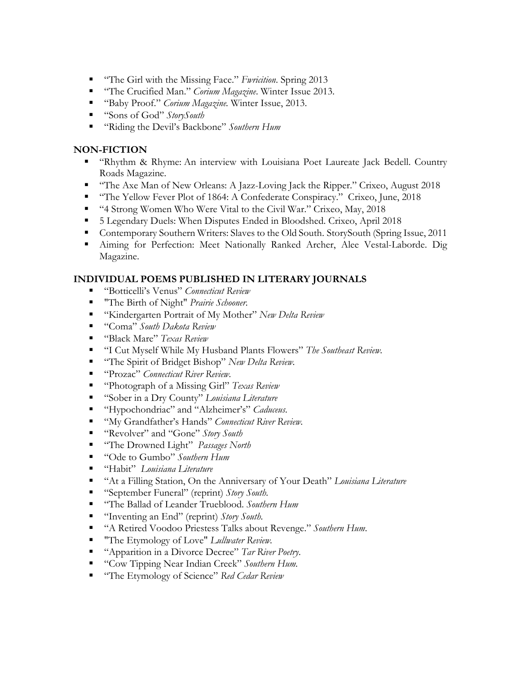- "The Girl with the Missing Face." *Fwricition*. Spring 2013
- "The Crucified Man." *Corium Magazine*. Winter Issue 2013.
- "Baby Proof." *Corium Magazine.* Winter Issue, 2013.
- "Sons of God" *StorySouth*
- "Riding the Devil's Backbone" *Southern Hum*

#### **NON-FICTION**

- "Rhythm & Rhyme: An interview with Louisiana Poet Laureate Jack Bedell. Country Roads Magazine.
- "The Axe Man of New Orleans: A Jazz-Loving Jack the Ripper." Crixeo, August 2018
- "The Yellow Fever Plot of 1864: A Confederate Conspiracy." Crixeo, June, 2018
- "4 Strong Women Who Were Vital to the Civil War." Crixeo, May, 2018
- 5 Legendary Duels: When Disputes Ended in Bloodshed. Crixeo, April 2018
- Contemporary Southern Writers: Slaves to the Old South. StorySouth (Spring Issue, 2011
- Aiming for Perfection: Meet Nationally Ranked Archer, Alee Vestal-Laborde. Dig Magazine.

#### **INDIVIDUAL POEMS PUBLISHED IN LITERARY JOURNALS**

- "Botticelli's Venus" *Connecticut Review*
- "The Birth of Night" *Prairie Schooner.*
- "Kindergarten Portrait of My Mother" *New Delta Review*
- "Coma" *South Dakota Review*
- "Black Mare" *Texas Review*
- "I Cut Myself While My Husband Plants Flowers" *The Southeast Review.*
- "The Spirit of Bridget Bishop" *New Delta Review.*
- "Prozac" *Connecticut River Review.*
- "Photograph of a Missing Girl" *Texas Review*
- "Sober in a Dry County" *Louisiana Literature*
- "Hypochondriac" and "Alzheimer's" *Caduceus*.
- "My Grandfather's Hands" *Connecticut River Review*.
- "Revolver" and "Gone" *Story South*
- "The Drowned Light" *Passages North*
- "Ode to Gumbo" *Southern Hum*
- "Habit" *Louisiana Literature*
- "At a Filling Station, On the Anniversary of Your Death" *Louisiana Literature*
- "September Funeral" (reprint) *Story South*.
- "The Ballad of Leander Trueblood. *Southern Hum*
- "Inventing an End" (reprint) *Story South*.
- "A Retired Voodoo Priestess Talks about Revenge." *Southern Hum*.
- "The Etymology of Love" *Lullwater Review.*
- "Apparition in a Divorce Decree" *Tar River Poetry*.
- "Cow Tipping Near Indian Creek" *Southern Hum.*
- "The Etymology of Science" *Red Cedar Review*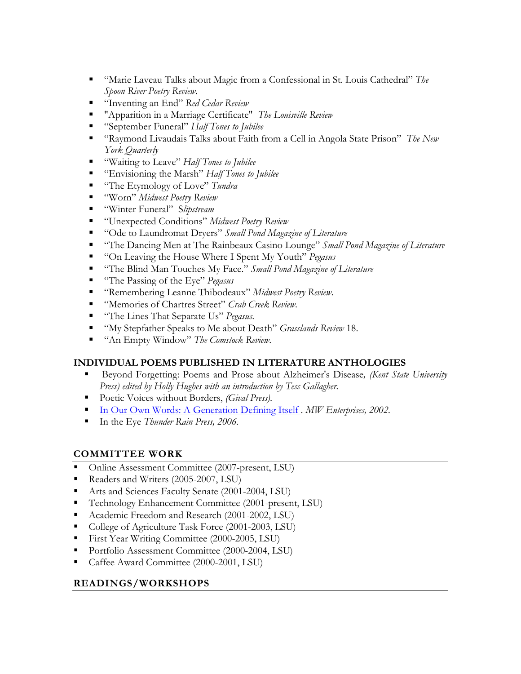- "Marie Laveau Talks about Magic from a Confessional in St. Louis Cathedral" *The Spoon River Poetry Review*.
- "Inventing an End" *Red Cedar Review*
- "Apparition in a Marriage Certificate" *The Louisville Review*
- "September Funeral" *Half Tones to Jubilee*
- "Raymond Livaudais Talks about Faith from a Cell in Angola State Prison" *The New York Quarterly*
- "Waiting to Leave" *Half Tones to Jubilee*
- "Envisioning the Marsh" *Half Tones to Jubilee*
- "The Etymology of Love" *Tundra*
- "Worn" *Midwest Poetry Review*
- "Winter Funeral" S*lipstream*
- "Unexpected Conditions" *Midwest Poetry Review*
- "Ode to Laundromat Dryers" *Small Pond Magazine of Literature*
- "The Dancing Men at The Rainbeaux Casino Lounge" *Small Pond Magazine of Literature*
- "On Leaving the House Where I Spent My Youth" *Pegasus*
- "The Blind Man Touches My Face." *Small Pond Magazine of Literature*
- "The Passing of the Eye" *Pegasus*
- "Remembering Leanne Thibodeaux" *Midwest Poetry Review*.
- "Memories of Chartres Street" *Crab Creek Review*.
- "The Lines That Separate Us" *Pegasus*.
- "My Stepfather Speaks to Me about Death" *Grasslands Review* 18.
- "An Empty Window" *The Comstock Review*.

# **INDIVIDUAL POEMS PUBLISHED IN LITERATURE ANTHOLOGIES**

- Beyond Forgetting: Poems and Prose about Alzheimer's Disease*, (Kent State University Press) edited by Holly Hughes with an introduction by Tess Gallagher.*
- Poetic Voices without Borders, *(Gival Press)*.
- [In Our Own Words: A Generation Defining Itself](http://www.amazon.com/gp/product/0965413667/sr=8-2/qid=1152542113/ref=sr_1_2/102-5786939-2004135?ie=UTF8) *. MW Enterprises, 2002.*
- In the Eye *Thunder Rain Press, 2006*.

# **COMMITTEE WORK**

- Online Assessment Committee (2007-present, LSU)
- Readers and Writers (2005-2007, LSU)
- Arts and Sciences Faculty Senate (2001-2004, LSU)
- Technology Enhancement Committee (2001-present, LSU)
- Academic Freedom and Research (2001-2002, LSU)
- College of Agriculture Task Force (2001-2003, LSU)
- First Year Writing Committee (2000-2005, LSU)
- Portfolio Assessment Committee (2000-2004, LSU)
- Caffee Award Committee (2000-2001, LSU)

# **READINGS/WORKSHOPS**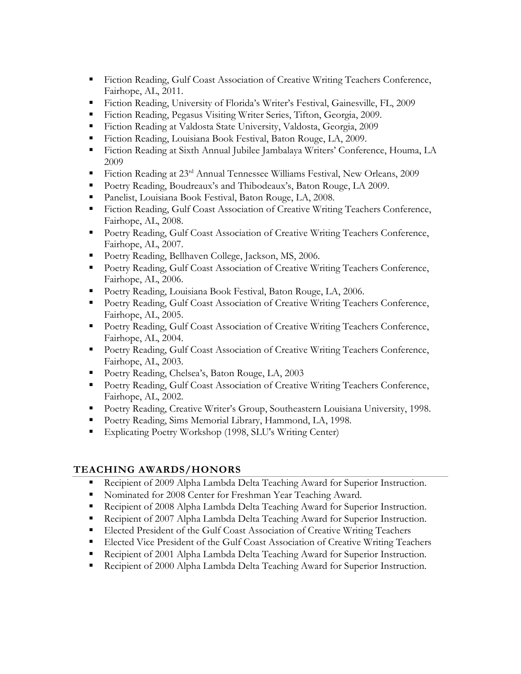- Fiction Reading, Gulf Coast Association of Creative Writing Teachers Conference, Fairhope, AL, 2011.
- Fiction Reading, University of Florida's Writer's Festival, Gainesville, FL, 2009
- Fiction Reading, Pegasus Visiting Writer Series, Tifton, Georgia, 2009.
- Fiction Reading at Valdosta State University, Valdosta, Georgia, 2009
- Fiction Reading, Louisiana Book Festival, Baton Rouge, LA, 2009.
- Fiction Reading at Sixth Annual Jubilee Jambalaya Writers' Conference, Houma, LA 2009
- Fiction Reading at 23rd Annual Tennessee Williams Festival, New Orleans, 2009
- Poetry Reading, Boudreaux's and Thibodeaux's, Baton Rouge, LA 2009.
- Panelist, Louisiana Book Festival, Baton Rouge, LA, 2008.
- Fiction Reading, Gulf Coast Association of Creative Writing Teachers Conference, Fairhope, AL, 2008.
- **Poetry Reading, Gulf Coast Association of Creative Writing Teachers Conference,** Fairhope, AL, 2007.
- Poetry Reading, Bellhaven College, Jackson, MS, 2006.
- **Poetry Reading, Gulf Coast Association of Creative Writing Teachers Conference,** Fairhope, AL, 2006.
- Poetry Reading, Louisiana Book Festival, Baton Rouge, LA, 2006.
- **Poetry Reading, Gulf Coast Association of Creative Writing Teachers Conference,** Fairhope, AL, 2005.
- Poetry Reading, Gulf Coast Association of Creative Writing Teachers Conference, Fairhope, AL, 2004.
- Poetry Reading, Gulf Coast Association of Creative Writing Teachers Conference, Fairhope, AL, 2003.
- Poetry Reading, Chelsea's, Baton Rouge, LA, 2003
- **Poetry Reading, Gulf Coast Association of Creative Writing Teachers Conference,** Fairhope, AL, 2002.
- Poetry Reading, Creative Writer's Group, Southeastern Louisiana University, 1998.
- Poetry Reading, Sims Memorial Library, Hammond, LA, 1998.
- Explicating Poetry Workshop (1998, SLU's Writing Center)

# **TEACHING AWARDS/HONORS**

- **Recipient of 2009 Alpha Lambda Delta Teaching Award for Superior Instruction.**
- Nominated for 2008 Center for Freshman Year Teaching Award.
- Recipient of 2008 Alpha Lambda Delta Teaching Award for Superior Instruction.
- Recipient of 2007 Alpha Lambda Delta Teaching Award for Superior Instruction.
- Elected President of the Gulf Coast Association of Creative Writing Teachers
- **Elected Vice President of the Gulf Coast Association of Creative Writing Teachers**
- **Recipient of 2001 Alpha Lambda Delta Teaching Award for Superior Instruction.**
- Recipient of 2000 Alpha Lambda Delta Teaching Award for Superior Instruction.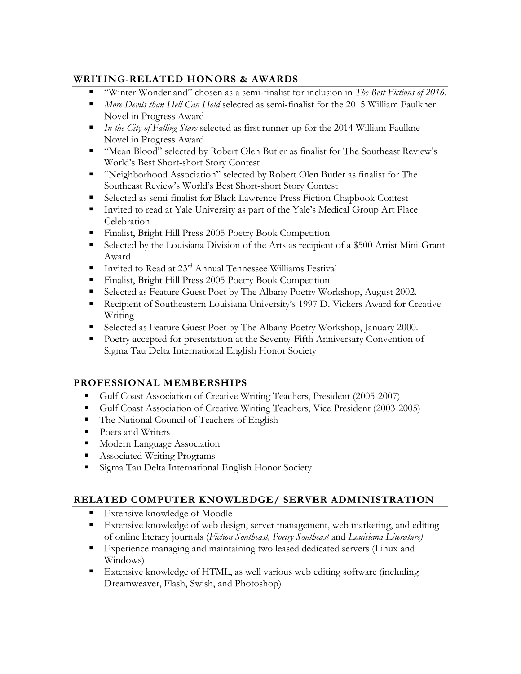# **WRITING-RELATED HONORS & AWARDS**

- "Winter Wonderland" chosen as a semi-finalist for inclusion in *The Best Fictions of 2016*.
- *More Devils than Hell Can Hold* selected as semi-finalist for the 2015 William Faulkner Novel in Progress Award
- *In the City of Falling Stars* selected as first runner-up for the 2014 William Faulkne Novel in Progress Award
- "Mean Blood" selected by Robert Olen Butler as finalist for The Southeast Review's World's Best Short-short Story Contest
- "Neighborhood Association" selected by Robert Olen Butler as finalist for The Southeast Review's World's Best Short-short Story Contest
- Selected as semi-finalist for Black Lawrence Press Fiction Chapbook Contest
- Invited to read at Yale University as part of the Yale's Medical Group Art Place Celebration
- Finalist, Bright Hill Press 2005 Poetry Book Competition
- Selected by the Louisiana Division of the Arts as recipient of a \$500 Artist Mini-Grant Award
- Invited to Read at  $23<sup>rd</sup>$  Annual Tennessee Williams Festival
- Finalist, Bright Hill Press 2005 Poetry Book Competition
- Selected as Feature Guest Poet by The Albany Poetry Workshop, August 2002.
- Recipient of Southeastern Louisiana University's 1997 D. Vickers Award for Creative Writing
- Selected as Feature Guest Poet by The Albany Poetry Workshop, January 2000.
- Poetry accepted for presentation at the Seventy-Fifth Anniversary Convention of Sigma Tau Delta International English Honor Society

# **PROFESSIONAL MEMBERSHIPS**

- Gulf Coast Association of Creative Writing Teachers, President (2005-2007)
- Gulf Coast Association of Creative Writing Teachers, Vice President (2003-2005)
- The National Council of Teachers of English
- Poets and Writers
- **Modern Language Association**
- Associated Writing Programs
- Sigma Tau Delta International English Honor Society

# **RELATED COMPUTER KNOWLEDGE/ SERVER ADMINISTRATION**

- Extensive knowledge of Moodle
- Extensive knowledge of web design, server management, web marketing, and editing of online literary journals (*Fiction Southeast, Poetry Southeast* and *Louisiana Literature)*
- Experience managing and maintaining two leased dedicated servers (Linux and Windows)
- Extensive knowledge of HTML, as well various web editing software (including Dreamweaver, Flash, Swish, and Photoshop)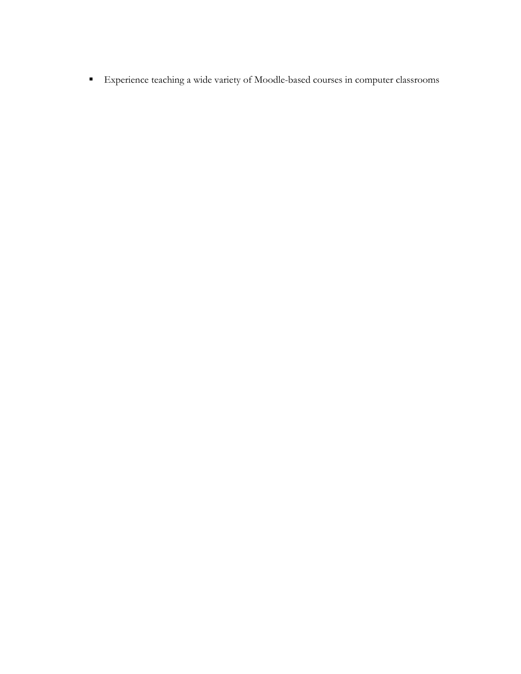Experience teaching a wide variety of Moodle-based courses in computer classrooms